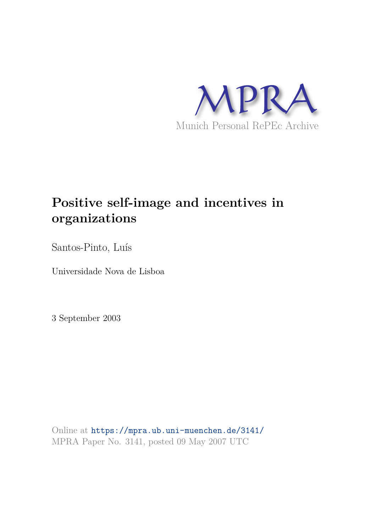

# **Positive self-image and incentives in organizations**

Santos-Pinto, Luís

Universidade Nova de Lisboa

3 September 2003

Online at https://mpra.ub.uni-muenchen.de/3141/ MPRA Paper No. 3141, posted 09 May 2007 UTC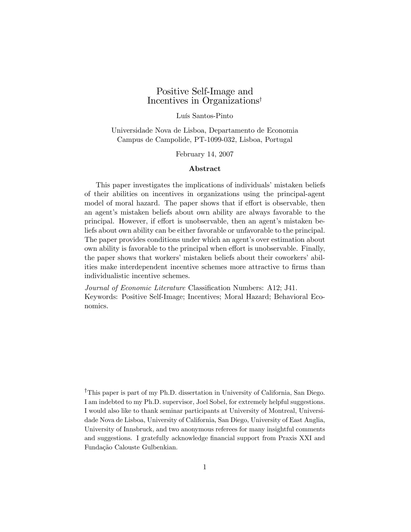# Positive Self-Image and Incentives in Organizations†

#### Luís Santos-Pinto

Universidade Nova de Lisboa, Departamento de Economia Campus de Campolide, PT-1099-032, Lisboa, Portugal

February 14, 2007

#### Abstract

This paper investigates the implications of individuals' mistaken beliefs of their abilities on incentives in organizations using the principal-agent model of moral hazard. The paper shows that if effort is observable, then an agent's mistaken beliefs about own ability are always favorable to the principal. However, if effort is unobservable, then an agent's mistaken beliefs about own ability can be either favorable or unfavorable to the principal. The paper provides conditions under which an agent's over estimation about own ability is favorable to the principal when effort is unobservable. Finally, the paper shows that workers' mistaken beliefs about their coworkers' abilities make interdependent incentive schemes more attractive to firms than individualistic incentive schemes.

Journal of Economic Literature Classification Numbers: A12; J41. Keywords: Positive Self-Image; Incentives; Moral Hazard; Behavioral Economics.

†This paper is part of my Ph.D. dissertation in University of California, San Diego. I am indebted to my Ph.D. supervisor, Joel Sobel, for extremely helpful suggestions. I would also like to thank seminar participants at University of Montreal, Universidade Nova de Lisboa, University of California, San Diego, University of East Anglia, University of Innsbruck, and two anonymous referees for many insightful comments and suggestions. I gratefully acknowledge financial support from Praxis XXI and Fundação Calouste Gulbenkian.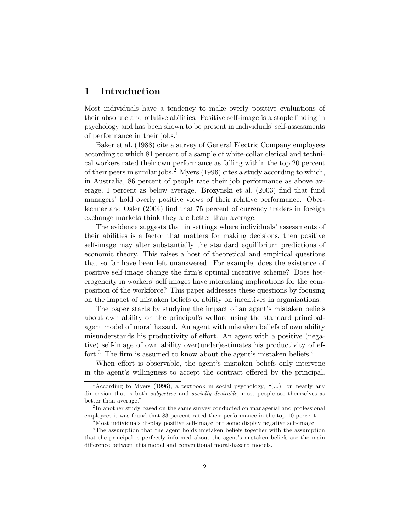# 1 Introduction

Most individuals have a tendency to make overly positive evaluations of their absolute and relative abilities. Positive self-image is a staple finding in psychology and has been shown to be present in individuals' self-assessments of performance in their jobs.<sup>1</sup>

Baker et al. (1988) cite a survey of General Electric Company employees according to which 81 percent of a sample of white-collar clerical and technical workers rated their own performance as falling within the top 20 percent of their peers in similar jobs.<sup>2</sup> Myers (1996) cites a study according to which, in Australia, 86 percent of people rate their job performance as above average, 1 percent as below average. Brozynski et al. (2003) find that fund managers' hold overly positive views of their relative performance. Oberlechner and Osler (2004) find that 75 percent of currency traders in foreign exchange markets think they are better than average.

The evidence suggests that in settings where individuals' assessments of their abilities is a factor that matters for making decisions, then positive self-image may alter substantially the standard equilibrium predictions of economic theory. This raises a host of theoretical and empirical questions that so far have been left unanswered. For example, does the existence of positive self-image change the firm's optimal incentive scheme? Does heterogeneity in workers' self images have interesting implications for the composition of the workforce? This paper addresses these questions by focusing on the impact of mistaken beliefs of ability on incentives in organizations.

The paper starts by studying the impact of an agent's mistaken beliefs about own ability on the principal's welfare using the standard principalagent model of moral hazard. An agent with mistaken beliefs of own ability misunderstands his productivity of effort. An agent with a positive (negative) self-image of own ability over(under)estimates his productivity of effort.<sup>3</sup> The firm is assumed to know about the agent's mistaken beliefs.<sup>4</sup>

When effort is observable, the agent's mistaken beliefs only intervene in the agent's willingness to accept the contract offered by the principal.

<sup>&</sup>lt;sup>1</sup> According to Myers (1996), a textbook in social psychology, "(...) on nearly any dimension that is both *subjective* and *socially desirable*, most people see themselves as better than average."

<sup>&</sup>lt;sup>2</sup>In another study based on the same survey conducted on managerial and professional employees it was found that 83 percent rated their performance in the top 10 percent.

 $3$ Most individuals display positive self-image but some display negative self-image.

<sup>&</sup>lt;sup>4</sup>The assumption that the agent holds mistaken beliefs together with the assumption that the principal is perfectly informed about the agent's mistaken beliefs are the main difference between this model and conventional moral-hazard models.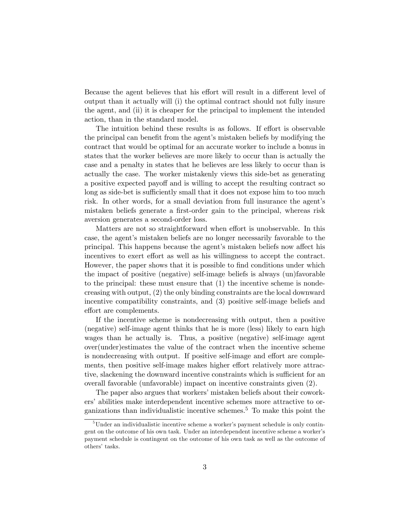Because the agent believes that his effort will result in a different level of output than it actually will (i) the optimal contract should not fully insure the agent, and (ii) it is cheaper for the principal to implement the intended action, than in the standard model.

The intuition behind these results is as follows. If effort is observable the principal can benefit from the agent's mistaken beliefs by modifying the contract that would be optimal for an accurate worker to include a bonus in states that the worker believes are more likely to occur than is actually the case and a penalty in states that he believes are less likely to occur than is actually the case. The worker mistakenly views this side-bet as generating a positive expected payoff and is willing to accept the resulting contract so long as side-bet is sufficiently small that it does not expose him to too much risk. In other words, for a small deviation from full insurance the agent's mistaken beliefs generate a first-order gain to the principal, whereas risk aversion generates a second-order loss.

Matters are not so straightforward when effort is unobservable. In this case, the agent's mistaken beliefs are no longer necessarily favorable to the principal. This happens because the agent's mistaken beliefs now affect his incentives to exert effort as well as his willingness to accept the contract. However, the paper shows that it is possible to find conditions under which the impact of positive (negative) self-image beliefs is always (un)favorable to the principal: these must ensure that (1) the incentive scheme is nondecreasing with output, (2) the only binding constraints are the local downward incentive compatibility constraints, and (3) positive self-image beliefs and effort are complements.

If the incentive scheme is nondecreasing with output, then a positive (negative) self-image agent thinks that he is more (less) likely to earn high wages than he actually is. Thus, a positive (negative) self-image agent over(under)estimates the value of the contract when the incentive scheme is nondecreasing with output. If positive self-image and effort are complements, then positive self-image makes higher effort relatively more attractive, slackening the downward incentive constraints which is sufficient for an overall favorable (unfavorable) impact on incentive constraints given (2).

The paper also argues that workers' mistaken beliefs about their coworkers' abilities make interdependent incentive schemes more attractive to organizations than individualistic incentive schemes.<sup>5</sup> To make this point the

 $5$ Under an individualistic incentive scheme a worker's payment schedule is only contingent on the outcome of his own task. Under an interdependent incentive scheme a worker's payment schedule is contingent on the outcome of his own task as well as the outcome of others' tasks.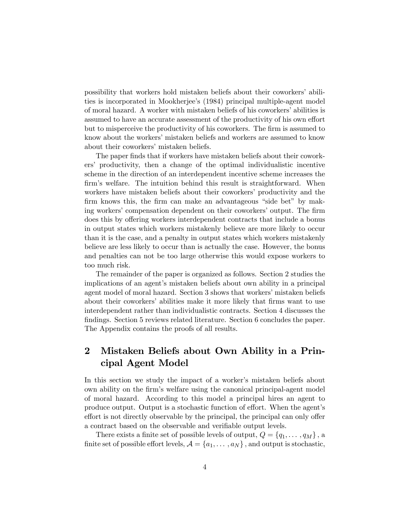possibility that workers hold mistaken beliefs about their coworkers' abilities is incorporated in Mookherjee's (1984) principal multiple-agent model of moral hazard. A worker with mistaken beliefs of his coworkers' abilities is assumed to have an accurate assessment of the productivity of his own effort but to misperceive the productivity of his coworkers. The firm is assumed to know about the workers' mistaken beliefs and workers are assumed to know about their coworkers' mistaken beliefs.

The paper finds that if workers have mistaken beliefs about their coworkers' productivity, then a change of the optimal individualistic incentive scheme in the direction of an interdependent incentive scheme increases the firm's welfare. The intuition behind this result is straightforward. When workers have mistaken beliefs about their coworkers' productivity and the firm knows this, the firm can make an advantageous "side bet" by making workers' compensation dependent on their coworkers' output. The firm does this by offering workers interdependent contracts that include a bonus in output states which workers mistakenly believe are more likely to occur than it is the case, and a penalty in output states which workers mistakenly believe are less likely to occur than is actually the case. However, the bonus and penalties can not be too large otherwise this would expose workers to too much risk.

The remainder of the paper is organized as follows. Section 2 studies the implications of an agent's mistaken beliefs about own ability in a principal agent model of moral hazard. Section 3 shows that workers' mistaken beliefs about their coworkers' abilities make it more likely that firms want to use interdependent rather than individualistic contracts. Section 4 discusses the findings. Section 5 reviews related literature. Section 6 concludes the paper. The Appendix contains the proofs of all results.

# 2 Mistaken Beliefs about Own Ability in a Principal Agent Model

In this section we study the impact of a worker's mistaken beliefs about own ability on the firm's welfare using the canonical principal-agent model of moral hazard. According to this model a principal hires an agent to produce output. Output is a stochastic function of effort. When the agent's effort is not directly observable by the principal, the principal can only offer a contract based on the observable and verifiable output levels.

There exists a finite set of possible levels of output,  $Q = \{q_1, \ldots, q_M\}$ , a finite set of possible effort levels,  $\mathcal{A} = \{a_1, \ldots, a_N\}$ , and output is stochastic,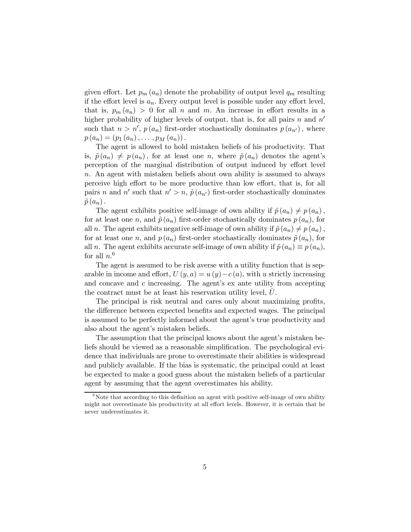given effort. Let  $p_m(a_n)$  denote the probability of output level  $q_m$  resulting if the effort level is  $a_n$ . Every output level is possible under any effort level, that is,  $p_m(a_n) > 0$  for all n and m. An increase in effort results in a higher probability of higher levels of output, that is, for all pairs n and  $n'$ such that  $n > n'$ ,  $p(a_n)$  first-order stochastically dominates  $p(a_{n'})$ , where  $p(a_n)=(p_1 (a_n), \ldots, p_M (a_n)).$ 

The agent is allowed to hold mistaken beliefs of his productivity. That is,  $\tilde{p}(a_n) \neq p(a_n)$ , for at least one n, where  $\tilde{p}(a_n)$  denotes the agent's perception of the marginal distribution of output induced by effort level n. An agent with mistaken beliefs about own ability is assumed to always perceive high effort to be more productive than low effort, that is, for all pairs n and n' such that  $n' > n$ ,  $\tilde{p}(a_{n'})$  first-order stochastically dominates  $\tilde{p}(a_n)$ .

The agent exhibits positive self-image of own ability if  $\tilde{p}(a_n) \neq p(a_n)$ , for at least one n, and  $\tilde{p}(a_n)$  first-order stochastically dominates  $p(a_n)$ , for all n. The agent exhibits negative self-image of own ability if  $\tilde{p}(a_n) \neq p (a_n)$ , for at least one n, and  $p(a_n)$  first-order stochastically dominates  $\tilde{p}(a_n)$ , for all n. The agent exhibits accurate self-image of own ability if  $\tilde{p}(a_n) \equiv p(a_n)$ , for all  $n<sup>6</sup>$ 

The agent is assumed to be risk averse with a utility function that is separable in income and effort,  $U(y, a) = u(y) - c(a)$ , with u strictly increasing and concave and  $c$  increasing. The agent's ex ante utility from accepting the contract must be at least his reservation utility level,  $U$ .

The principal is risk neutral and cares only about maximizing profits, the difference between expected benefits and expected wages. The principal is assumed to be perfectly informed about the agent's true productivity and also about the agent's mistaken beliefs.

The assumption that the principal knows about the agent's mistaken beliefs should be viewed as a reasonable simplification. The psychological evidence that individuals are prone to overestimate their abilities is widespread and publicly available. If the bias is systematic, the principal could at least be expected to make a good guess about the mistaken beliefs of a particular agent by assuming that the agent overestimates his ability.

 $6$ Note that according to this definition an agent with positive self-image of own ability might not overestimate his productivity at all effort levels. However, it is certain that he never underestimates it.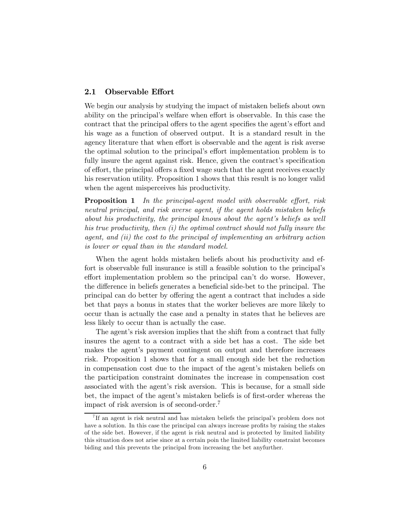#### 2.1 Observable Effort

We begin our analysis by studying the impact of mistaken beliefs about own ability on the principal's welfare when effort is observable. In this case the contract that the principal offers to the agent specifies the agent's effort and his wage as a function of observed output. It is a standard result in the agency literature that when effort is observable and the agent is risk averse the optimal solution to the principal's effort implementation problem is to fully insure the agent against risk. Hence, given the contract's specification of effort, the principal offers a fixed wage such that the agent receives exactly his reservation utility. Proposition 1 shows that this result is no longer valid when the agent misperceives his productivity.

Proposition 1 In the principal-agent model with observable effort, risk neutral principal, and risk averse agent, if the agent holds mistaken beliefs about his productivity, the principal knows about the agent's beliefs as well his true productivity, then (i) the optimal contract should not fully insure the agent, and (ii) the cost to the principal of implementing an arbitrary action is lower or equal than in the standard model.

When the agent holds mistaken beliefs about his productivity and effort is observable full insurance is still a feasible solution to the principal's effort implementation problem so the principal can't do worse. However, the difference in beliefs generates a beneficial side-bet to the principal. The principal can do better by offering the agent a contract that includes a side bet that pays a bonus in states that the worker believes are more likely to occur than is actually the case and a penalty in states that he believes are less likely to occur than is actually the case.

The agent's risk aversion implies that the shift from a contract that fully insures the agent to a contract with a side bet has a cost. The side bet makes the agent's payment contingent on output and therefore increases risk. Proposition 1 shows that for a small enough side bet the reduction in compensation cost due to the impact of the agent's mistaken beliefs on the participation constraint dominates the increase in compensation cost associated with the agent's risk aversion. This is because, for a small side bet, the impact of the agent's mistaken beliefs is of first-order whereas the impact of risk aversion is of second-order.<sup>7</sup>

<sup>&</sup>lt;sup>7</sup>If an agent is risk neutral and has mistaken beliefs the principal's problem does not have a solution. In this case the principal can always increase profits by raising the stakes of the side bet. However, if the agent is risk neutral and is protected by limited liability this situation does not arise since at a certain poin the limited liability constraint becomes biding and this prevents the principal from increasing the bet anyfurther.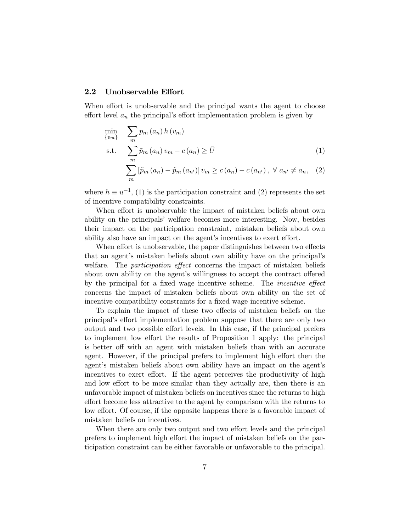#### 2.2 Unobservable Effort

When effort is unobservable and the principal wants the agent to choose effort level  $a_n$  the principal's effort implementation problem is given by

$$
\min_{\{v_m\}} \sum_{m} p_m(a_n) h(v_m)
$$
\n
$$
\text{s.t.} \sum_{m} \tilde{p}_m(a_n) v_m - c(a_n) \geq \bar{U}
$$
\n
$$
(1)
$$

$$
\sum_{m} \left[ \tilde{p}_{m} \left( a_{n} \right) - \tilde{p}_{m} \left( a_{n'} \right) \right] v_{m} \ge c \left( a_{n} \right) - c \left( a_{n'} \right), \ \forall \ a_{n'} \ne a_{n}, \quad (2)
$$

where  $h \equiv u^{-1}$ , (1) is the participation constraint and (2) represents the set of incentive compatibility constraints.

When effort is unobservable the impact of mistaken beliefs about own ability on the principals' welfare becomes more interesting. Now, besides their impact on the participation constraint, mistaken beliefs about own ability also have an impact on the agent's incentives to exert effort.

When effort is unobservable, the paper distinguishes between two effects that an agent's mistaken beliefs about own ability have on the principal's welfare. The *participation effect* concerns the impact of mistaken beliefs about own ability on the agent's willingness to accept the contract offered by the principal for a fixed wage incentive scheme. The incentive effect concerns the impact of mistaken beliefs about own ability on the set of incentive compatibility constraints for a fixed wage incentive scheme.

To explain the impact of these two effects of mistaken beliefs on the principal's effort implementation problem suppose that there are only two output and two possible effort levels. In this case, if the principal prefers to implement low effort the results of Proposition 1 apply: the principal is better off with an agent with mistaken beliefs than with an accurate agent. However, if the principal prefers to implement high effort then the agent's mistaken beliefs about own ability have an impact on the agent's incentives to exert effort. If the agent perceives the productivity of high and low effort to be more similar than they actually are, then there is an unfavorable impact of mistaken beliefs on incentives since the returns to high effort become less attractive to the agent by comparison with the returns to low effort. Of course, if the opposite happens there is a favorable impact of mistaken beliefs on incentives.

When there are only two output and two effort levels and the principal prefers to implement high effort the impact of mistaken beliefs on the participation constraint can be either favorable or unfavorable to the principal.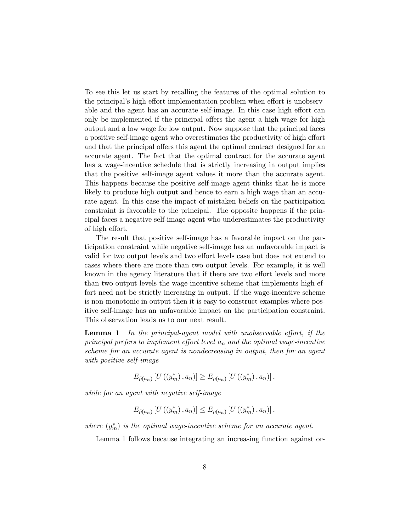To see this let us start by recalling the features of the optimal solution to the principal's high effort implementation problem when effort is unobservable and the agent has an accurate self-image. In this case high effort can only be implemented if the principal offers the agent a high wage for high output and a low wage for low output. Now suppose that the principal faces a positive self-image agent who overestimates the productivity of high effort and that the principal offers this agent the optimal contract designed for an accurate agent. The fact that the optimal contract for the accurate agent has a wage-incentive schedule that is strictly increasing in output implies that the positive self-image agent values it more than the accurate agent. This happens because the positive self-image agent thinks that he is more likely to produce high output and hence to earn a high wage than an accurate agent. In this case the impact of mistaken beliefs on the participation constraint is favorable to the principal. The opposite happens if the principal faces a negative self-image agent who underestimates the productivity of high effort.

The result that positive self-image has a favorable impact on the participation constraint while negative self-image has an unfavorable impact is valid for two output levels and two effort levels case but does not extend to cases where there are more than two output levels. For example, it is well known in the agency literature that if there are two effort levels and more than two output levels the wage-incentive scheme that implements high effort need not be strictly increasing in output. If the wage-incentive scheme is non-monotonic in output then it is easy to construct examples where positive self-image has an unfavorable impact on the participation constraint. This observation leads us to our next result.

**Lemma 1** In the principal-agent model with unobservable effort, if the principal prefers to implement effort level  $a_n$  and the optimal wage-incentive scheme for an accurate agent is nondecreasing in output, then for an agent with positive self-image

$$
E_{\tilde{p}(a_n)}[U((y_m^*), a_n)] \geq E_{p(a_n)}[U((y_m^*), a_n)],
$$

while for an agent with negative self-image

$$
E_{\tilde{p}(a_n)}[U((y_m^*), a_n)] \leq E_{p(a_n)}[U((y_m^*), a_n)],
$$

where  $(y_m^*)$  is the optimal wage-incentive scheme for an accurate agent.

Lemma 1 follows because integrating an increasing function against or-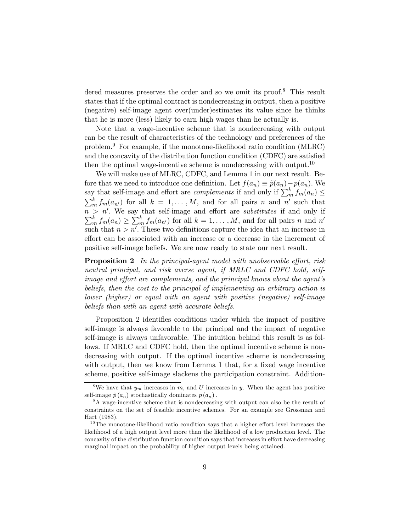dered measures preserves the order and so we omit its proof.<sup>8</sup> This result states that if the optimal contract is nondecreasing in output, then a positive (negative) self-image agent over(under)estimates its value since he thinks that he is more (less) likely to earn high wages than he actually is.

Note that a wage-incentive scheme that is nondecreasing with output can be the result of characteristics of the technology and preferences of the problem.<sup>9</sup> For example, if the monotone-likelihood ratio condition (MLRC) and the concavity of the distribution function condition (CDFC) are satisfied then the optimal wage-incentive scheme is nondecreasing with output.<sup>10</sup>

We will make use of MLRC, CDFC, and Lemma 1 in our next result. Before that we need to introduce one definition. Let  $f(a_n) \equiv \tilde{p}(a_n) - p(a_n)$ . We say that self-image and effort are *complements* if and only if  $\sum_{m}^{k} f_m(a_n) \leq$  $\sum_{m}^{k} f_m(a_{n'})$  for all  $k = 1, ..., M$ , and for all pairs n and n' such that  $n > n'$ . We say that self-image and effort are *substitutes* if and only if  $n > n'$ . We say that self-image and effort are *substitutes* if and only if  $\sum_{m=1}^{k} f_m(a_n) \ge \sum_{m=1}^{k} f_m(a_{n'})$  for all  $k = 1, ..., M$ , and for all pairs n and n' such that  $n > n'$ . These two definitions capture the idea that an increase in effort can be associated with an increase or a decrease in the increment of positive self-image beliefs. We are now ready to state our next result.

Proposition 2 In the principal-agent model with unobservable effort, risk neutral principal, and risk averse agent, if MRLC and CDFC hold, selfimage and effort are complements, and the principal knows about the agent's beliefs, then the cost to the principal of implementing an arbitrary action is lower (higher) or equal with an agent with positive (negative) self-image beliefs than with an agent with accurate beliefs.

Proposition 2 identifies conditions under which the impact of positive self-image is always favorable to the principal and the impact of negative self-image is always unfavorable. The intuition behind this result is as follows. If MRLC and CDFC hold, then the optimal incentive scheme is nondecreasing with output. If the optimal incentive scheme is nondecreasing with output, then we know from Lemma 1 that, for a fixed wage incentive scheme, positive self-image slackens the participation constraint. Addition-

<sup>&</sup>lt;sup>8</sup>We have that  $y_m$  increases in m, and U increases in y. When the agent has positive self-image  $\tilde{p}(a_n)$  stochastically dominates  $p(a_n)$ .

<sup>&</sup>lt;sup>9</sup>A wage-incentive scheme that is nondecreasing with output can also be the result of constraints on the set of feasible incentive schemes. For an example see Grossman and Hart (1983).

 $10$ The monotone-likelihood ratio condition says that a higher effort level increases the likelihood of a high output level more than the likelihood of a low production level. The concavity of the distribution function condition says that increases in effort have decreasing marginal impact on the probability of higher output levels being attained.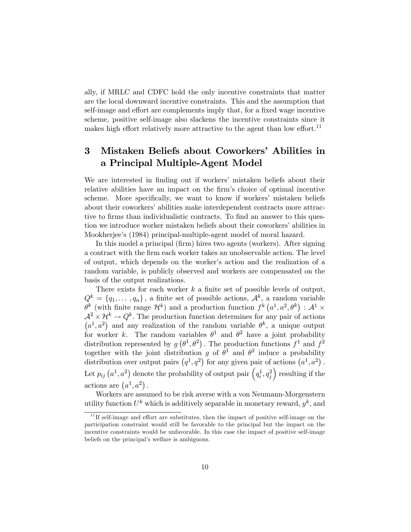ally, if MRLC and CDFC hold the only incentive constraints that matter are the local downward incentive constraints. This and the assumption that self-image and effort are complements imply that, for a fixed wage incentive scheme, positive self-image also slackens the incentive constraints since it makes high effort relatively more attractive to the agent than low effort.<sup>11</sup>

# 3 Mistaken Beliefs about Coworkers' Abilities in a Principal Multiple-Agent Model

We are interested in finding out if workers' mistaken beliefs about their relative abilities have an impact on the firm's choice of optimal incentive scheme. More specifically, we want to know if workers' mistaken beliefs about their coworkers' abilities make interdependent contracts more attractive to firms than individualistic contracts. To find an answer to this question we introduce worker mistaken beliefs about their coworkers' abilities in Mookherjee's (1984) principal-multiple-agent model of moral hazard.

In this model a principal (firm) hires two agents (workers). After signing a contract with the firm each worker takes an unobservable action. The level of output, which depends on the worker's action and the realization of a random variable, is publicly observed and workers are compensated on the basis of the output realizations.

There exists for each worker  $k$  a finite set of possible levels of output,  $Q^k = \{q_1, \ldots, q_n\}$ , a finite set of possible actions,  $\mathcal{A}^k$ , a random variable  $\theta^k$  (with finite range  $\mathcal{H}^k$ ) and a production function  $f^k(a^1, a^2, \theta^k)$ :  $\mathcal{A}^1 \times$  $\mathcal{A}^2 \times \mathcal{H}^k \to Q^k$ . The production function determines for any pair of actions  $(a^1, a^2)$  and any realization of the random variable  $\theta^k$ , a unique output for worker k. The random variables  $\theta^1$  and  $\theta^2$  have a joint probability distribution represented by  $g(\theta^1, \theta^2)$ . The production functions  $f^1$  and  $f^2$ together with the joint distribution g of  $\theta^1$  and  $\theta^2$  induce a probability distribution over output pairs  $(q^1, q^2)$  for any given pair of actions  $(a^1, a^2)$ . Let  $p_{ij}$   $(a^1, a^2)$  denote the probability of output pair  $\left(q_i^1, q_j^2\right)$  resulting if the actions are  $(a^1, a^2)$ .

Workers are assumed to be risk averse with a von Neumann-Morgenstern utility function  $U^k$  which is additively separable in monetary reward,  $y^k$ , and

 $11$ <sup>II</sup> If self-image and effort are substitutes, then the impact of positive self-image on the participation constraint would still be favorable to the principal but the impact on the incentive constraints would be unfavorable. In this case the impact of positive self-image beliefs on the principal's welfare is ambiguous.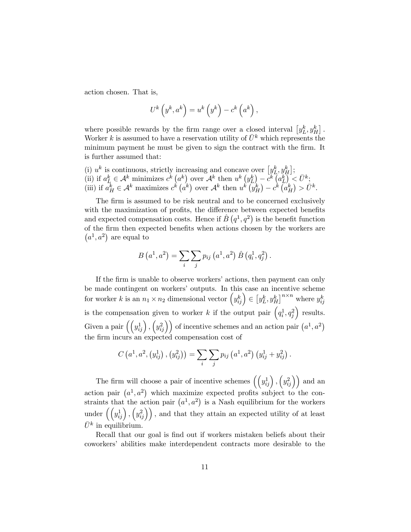action chosen. That is,

$$
U^{k}\left(y^{k}, a^{k}\right) = u^{k}\left(y^{k}\right) - c^{k}\left(a^{k}\right),
$$

where possible rewards by the firm range over a closed interval  $[y_L^k, y_H^k]$ . Worker k is assumed to have a reservation utility of  $\bar{U}^k$  which represents the minimum payment he must be given to sign the contract with the firm. It is further assumed that:

\n- (i) 
$$
u^k
$$
 is continuous, strictly increasing and concave over  $[y_L^k, y_H^k]$ ;
\n- (ii) if  $a_L^k \in \mathcal{A}^k$  minimizes  $c^k(a^k)$  over  $\mathcal{A}^k$  then  $u^k(y_L^k) - c^k(a_L^k) < \bar{U}^k$ ;
\n- (iii) if  $a_H^k \in \mathcal{A}^k$  maximizes  $c^k(a^k)$  over  $\mathcal{A}^k$  then  $u^k(y_H^k) - c^k(a_H^k) > \bar{U}^k$ .
\n

The firm is assumed to be risk neutral and to be concerned exclusively with the maximization of profits, the difference between expected benefits and expected compensation costs. Hence if  $\hat{B}(q^1,q^2)$  is the benefit function of the firm then expected benefits when actions chosen by the workers are  $(a^1, a^2)$  are equal to

$$
B\left(a^{1}, a^{2}\right) = \sum_{i} \sum_{j} p_{ij} \left(a^{1}, a^{2}\right) \hat{B} \left(q_{i}^{1}, q_{j}^{2}\right).
$$

If the firm is unable to observe workers' actions, then payment can only be made contingent on workers' outputs. In this case an incentive scheme for worker k is an  $n_1 \times n_2$  dimensional vector  $(y_{ij}^k) \in [y_L^k, y_H^k]^{n \times n}$  where  $y_{ij}^k$ is the compensation given to worker k if the output pair  $(q_i^1, q_j^2)$  results. Given a pair  $(\left(y_{ij}^1\right), \left(y_{ij}^2\right))$  of incentive schemes and an action pair  $\left(a^1, a^2\right)$ the firm incurs an expected compensation cost of

$$
C\left(a^{1}, a^{2}, (y_{ij}^{1}), (y_{ij}^{2})\right) = \sum_{i} \sum_{j} p_{ij} (a^{1}, a^{2}) (y_{ij}^{1} + y_{ij}^{2}).
$$

The firm will choose a pair of incentive schemes  $(\left(y_{ij}^1\right), \left(y_{ij}^2\right))$  and an action pair  $(a^1, a^2)$  which maximize expected profits subject to the constraints that the action pair  $(a^1, a^2)$  is a Nash equilibrium for the workers under  $(\left(y_{ij}^1\right), \left(y_{ij}^2\right))$ , and that they attain an expected utility of at least  $\bar{U}^k$  in equilibrium.

Recall that our goal is find out if workers mistaken beliefs about their coworkers' abilities make interdependent contracts more desirable to the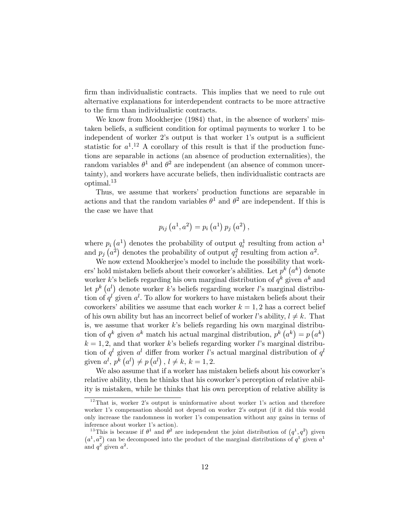firm than individualistic contracts. This implies that we need to rule out alternative explanations for interdependent contracts to be more attractive to the firm than individualistic contracts.

We know from Mookherjee (1984) that, in the absence of workers' mistaken beliefs, a sufficient condition for optimal payments to worker 1 to be independent of worker 2's output is that worker 1's output is a sufficient statistic for  $a^{1}$ .<sup>12</sup> A corollary of this result is that if the production functions are separable in actions (an absence of production externalities), the random variables  $\theta^1$  and  $\theta^2$  are independent (an absence of common uncertainty), and workers have accurate beliefs, then individualistic contracts are optimal.<sup>13</sup>

Thus, we assume that workers' production functions are separable in actions and that the random variables  $\theta^1$  and  $\theta^2$  are independent. If this is the case we have that

$$
p_{ij}(a^{1}, a^{2}) = p_{i}(a^{1}) p_{j}(a^{2}),
$$

where  $p_i(a^1)$  denotes the probability of output  $q_i^1$  resulting from action  $a^1$ and  $p_j(a^2)$  denotes the probability of output  $q_j^2$  resulting from action  $a^2$ .

We now extend Mookherjee's model to include the possibility that workers' hold mistaken beliefs about their coworker's abilities. Let  $p^k$   $(a^k)$  denote worker k's beliefs regarding his own marginal distribution of  $q^k$  given  $a^k$  and let  $p^{k}(a^{l})$  denote worker k's beliefs regarding worker l's marginal distribution of  $q^{l}$  given  $a^{l}$ . To allow for workers to have mistaken beliefs about their coworkers' abilities we assume that each worker  $k = 1, 2$  has a correct belief of his own ability but has an incorrect belief of worker l's ability,  $l \neq k$ . That is, we assume that worker  $k$ 's beliefs regarding his own marginal distribution of  $q^k$  given  $a^k$  match his actual marginal distribution,  $p^k (a^k) = p (a^k)$  $k = 1, 2$ , and that worker k's beliefs regarding worker l's marginal distribution of  $q^l$  given  $a^l$  differ from worker l's actual marginal distribution of  $q^l$ given  $a^l, p^k(a^l) \neq p(a^l), l \neq k, k = 1, 2.$ 

We also assume that if a worker has mistaken beliefs about his coworker's relative ability, then he thinks that his coworker's perception of relative ability is mistaken, while he thinks that his own perception of relative ability is

 $12$ That is, worker 2's output is uninformative about worker 1's action and therefore worker 1's compensation should not depend on worker 2's output (if it did this would only increase the randomness in worker 1's compensation without any gains in terms of inference about worker 1's action).

<sup>&</sup>lt;sup>13</sup>This is because if  $\theta^1$  and  $\theta^2$  are independent the joint distribution of  $(q^1, q^2)$  given  $(a^1, a^2)$  can be decomposed into the product of the marginal distributions of  $q^1$  given  $a^1$ and  $q^{2}$  given  $a^{2}$ .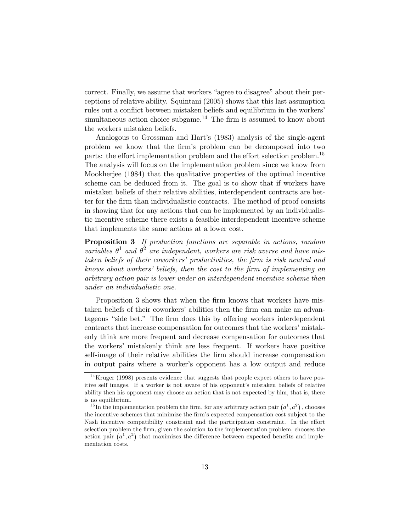correct. Finally, we assume that workers "agree to disagree" about their perceptions of relative ability. Squintani (2005) shows that this last assumption rules out a conflict between mistaken beliefs and equilibrium in the workers' simultaneous action choice subgame.<sup>14</sup> The firm is assumed to know about the workers mistaken beliefs.

Analogous to Grossman and Hart's (1983) analysis of the single-agent problem we know that the firm's problem can be decomposed into two parts: the effort implementation problem and the effort selection problem.<sup>15</sup> The analysis will focus on the implementation problem since we know from Mookherjee (1984) that the qualitative properties of the optimal incentive scheme can be deduced from it. The goal is to show that if workers have mistaken beliefs of their relative abilities, interdependent contracts are better for the firm than individualistic contracts. The method of proof consists in showing that for any actions that can be implemented by an individualistic incentive scheme there exists a feasible interdependent incentive scheme that implements the same actions at a lower cost.

Proposition 3 If production functions are separable in actions, random variables  $\theta^1$  and  $\theta^2$  are independent, workers are risk averse and have mistaken beliefs of their coworkers' productivities, the firm is risk neutral and knows about workers' beliefs, then the cost to the firm of implementing an arbitrary action pair is lower under an interdependent incentive scheme than under an individualistic one.

Proposition 3 shows that when the firm knows that workers have mistaken beliefs of their coworkers' abilities then the firm can make an advantageous "side bet." The firm does this by offering workers interdependent contracts that increase compensation for outcomes that the workers' mistakenly think are more frequent and decrease compensation for outcomes that the workers' mistakenly think are less frequent. If workers have positive self-image of their relative abilities the firm should increase compensation in output pairs where a worker's opponent has a low output and reduce

 $14$ Kruger (1998) presents evidence that suggests that people expect others to have positive self images. If a worker is not aware of his opponent's mistaken beliefs of relative ability then his opponent may choose an action that is not expected by him, that is, there is no equilibrium.

<sup>&</sup>lt;sup>15</sup>In the implementation problem the firm, for any arbitrary action pair  $(a^1, a^2)$ , chooses the incentive schemes that minimize the firm's expected compensation cost subject to the Nash incentive compatibility constraint and the participation constraint. In the effort selection problem the firm, given the solution to the implementation problem, chooses the action pair  $(a^1, a^2)$  that maximizes the difference between expected benefits and implementation costs.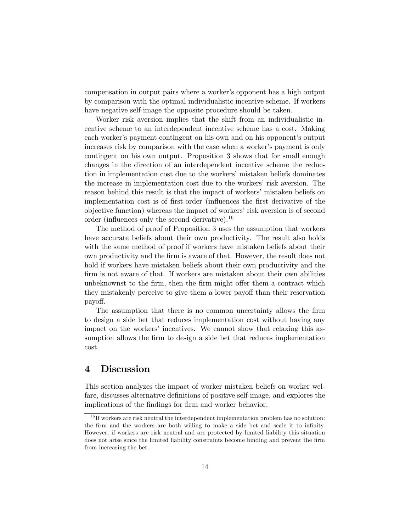compensation in output pairs where a worker's opponent has a high output by comparison with the optimal individualistic incentive scheme. If workers have negative self-image the opposite procedure should be taken.

Worker risk aversion implies that the shift from an individualistic incentive scheme to an interdependent incentive scheme has a cost. Making each worker's payment contingent on his own and on his opponent's output increases risk by comparison with the case when a worker's payment is only contingent on his own output. Proposition 3 shows that for small enough changes in the direction of an interdependent incentive scheme the reduction in implementation cost due to the workers' mistaken beliefs dominates the increase in implementation cost due to the workers' risk aversion. The reason behind this result is that the impact of workers' mistaken beliefs on implementation cost is of first-order (influences the first derivative of the objective function) whereas the impact of workers' risk aversion is of second order (influences only the second derivative).<sup>16</sup>

The method of proof of Proposition 3 uses the assumption that workers have accurate beliefs about their own productivity. The result also holds with the same method of proof if workers have mistaken beliefs about their own productivity and the firm is aware of that. However, the result does not hold if workers have mistaken beliefs about their own productivity and the firm is not aware of that. If workers are mistaken about their own abilities unbeknownst to the firm, then the firm might offer them a contract which they mistakenly perceive to give them a lower payoff than their reservation payoff.

The assumption that there is no common uncertainty allows the firm to design a side bet that reduces implementation cost without having any impact on the workers' incentives. We cannot show that relaxing this assumption allows the firm to design a side bet that reduces implementation cost.

# 4 Discussion

This section analyzes the impact of worker mistaken beliefs on worker welfare, discusses alternative definitions of positive self-image, and explores the implications of the findings for firm and worker behavior.

 $16$  If workers are risk neutral the interdependent implementation problem has no solution: the firm and the workers are both willing to make a side bet and scale it to infinity. However, if workers are risk neutral and are protected by limited liability this situation does not arise since the limited liability constraints become binding and prevent the firm from increasing the bet.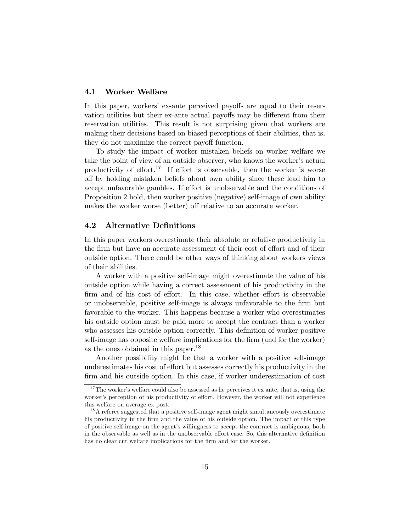## 4.1 Worker Welfare

In this paper, workers' ex-ante perceived payoffs are equal to their reservation utilities but their ex-ante actual payoffs may be different from their reservation utilities. This result is not surprising given that workers are making their decisions based on biased perceptions of their abilities, that is, they do not maximize the correct payoff function.

To study the impact of worker mistaken beliefs on worker welfare we take the point of view of an outside observer, who knows the worker's actual productivity of effort.<sup>17</sup> If effort is observable, then the worker is worse off by holding mistaken beliefs about own ability since these lead him to accept unfavorable gambles. If effort is unobservable and the conditions of Proposition 2 hold, then worker positive (negative) self-image of own ability makes the worker worse (better) off relative to an accurate worker.

### 4.2 Alternative Definitions

In this paper workers overestimate their absolute or relative productivity in the firm but have an accurate assessment of their cost of effort and of their outside option. There could be other ways of thinking about workers views of their abilities.

A worker with a positive self-image might overestimate the value of his outside option while having a correct assessment of his productivity in the firm and of his cost of effort. In this case, whether effort is observable or unobservable, positive self-image is always unfavorable to the firm but favorable to the worker. This happens because a worker who overestimates his outside option must be paid more to accept the contract than a worker who assesses his outside option correctly. This definition of worker positive self-image has opposite welfare implications for the firm (and for the worker) as the ones obtained in this paper.<sup>18</sup>

Another possibility might be that a worker with a positive self-image underestimates his cost of effort but assesses correctly his productivity in the firm and his outside option. In this case, if worker underestimation of cost

 $17$ The worker's welfare could also be assessed as he perceives it ex ante, that is, using the worker's perception of his productivity of effort. However, the worker will not experience this welfare on average ex post.

 $1<sup>8</sup>A$  referee suggested that a positive self-image agent might simultaneously overestimate his productivity in the firm and the value of his outside option. The impact of this type of positive self-image on the agent's willingness to accept the contract is ambiguous, both in the observable as well as in the unobservable effort case. So, this alternative definition has no clear cut welfare implications for the firm and for the worker.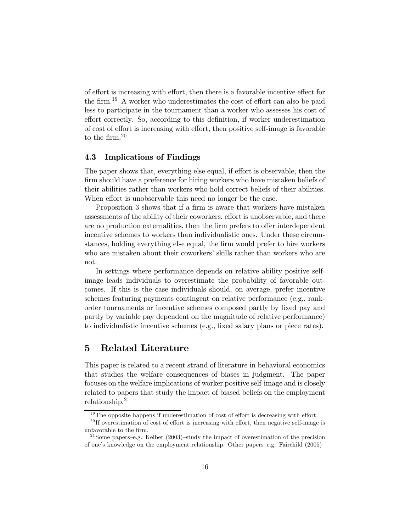of effort is increasing with effort, then there is a favorable incentive effect for the firm.<sup>19</sup> A worker who underestimates the cost of effort can also be paid less to participate in the tournament than a worker who assesses his cost of effort correctly. So, according to this definition, if worker underestimation of cost of effort is increasing with effort, then positive self-image is favorable to the firm.<sup>20</sup>

### 4.3 Implications of Findings

The paper shows that, everything else equal, if effort is observable, then the firm should have a preference for hiring workers who have mistaken beliefs of their abilities rather than workers who hold correct beliefs of their abilities. When effort is unobservable this need no longer be the case.

Proposition 3 shows that if a firm is aware that workers have mistaken assessments of the ability of their coworkers, effort is unobservable, and there are no production externalities, then the firm prefers to offer interdependent incentive schemes to workers than individualistic ones. Under these circumstances, holding everything else equal, the firm would prefer to hire workers who are mistaken about their coworkers' skills rather than workers who are not.

In settings where performance depends on relative ability positive selfimage leads individuals to overestimate the probability of favorable outcomes. If this is the case individuals should, on average, prefer incentive schemes featuring payments contingent on relative performance (e.g., rankorder tournaments or incentive schemes composed partly by fixed pay and partly by variable pay dependent on the magnitude of relative performance) to individualistic incentive schemes (e.g., fixed salary plans or piece rates).

## 5 Related Literature

This paper is related to a recent strand of literature in behavioral economics that studies the welfare consequences of biases in judgment. The paper focuses on the welfare implications of worker positive self-image and is closely related to papers that study the impact of biased beliefs on the employment relationship.<sup>21</sup>

 $19$ The opposite happens if underestimation of cost of effort is decreasing with effort.

 $^{20}$ If overestimation of cost of effort is increasing with effort, then negative self-image is unfavorable to the firm.

<sup>&</sup>lt;sup>21</sup> Some papers–e.g. Keiber (2003)–study the impact of overestimation of the precision of one's knowledge on the employment relationship. Other papers—e.g. Fairchild (2005)—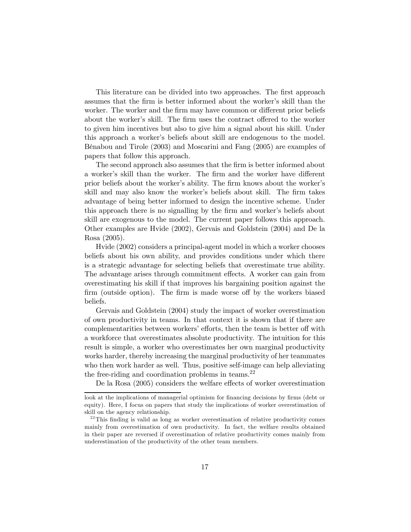This literature can be divided into two approaches. The first approach assumes that the firm is better informed about the worker's skill than the worker. The worker and the firm may have common or different prior beliefs about the worker's skill. The firm uses the contract offered to the worker to given him incentives but also to give him a signal about his skill. Under this approach a worker's beliefs about skill are endogenous to the model. Bénabou and Tirole (2003) and Moscarini and Fang (2005) are examples of papers that follow this approach.

The second approach also assumes that the firm is better informed about a worker's skill than the worker. The firm and the worker have different prior beliefs about the worker's ability. The firm knows about the worker's skill and may also know the worker's beliefs about skill. The firm takes advantage of being better informed to design the incentive scheme. Under this approach there is no signalling by the firm and worker's beliefs about skill are exogenous to the model. The current paper follows this approach. Other examples are Hvide (2002), Gervais and Goldstein (2004) and De la Rosa (2005).

Hvide (2002) considers a principal-agent model in which a worker chooses beliefs about his own ability, and provides conditions under which there is a strategic advantage for selecting beliefs that overestimate true ability. The advantage arises through commitment effects. A worker can gain from overestimating his skill if that improves his bargaining position against the firm (outside option). The firm is made worse off by the workers biased beliefs.

Gervais and Goldstein (2004) study the impact of worker overestimation of own productivity in teams. In that context it is shown that if there are complementarities between workers' efforts, then the team is better off with a workforce that overestimates absolute productivity. The intuition for this result is simple, a worker who overestimates her own marginal productivity works harder, thereby increasing the marginal productivity of her teammates who then work harder as well. Thus, positive self-image can help alleviating the free-riding and coordination problems in teams. $22$ 

De la Rosa (2005) considers the welfare effects of worker overestimation

look at the implications of managerial optimism for financing decisions by firms (debt or equity). Here, I focus on papers that study the implications of worker overestimation of skill on the agency relationship.

 $^{22}$ This finding is valid as long as worker overestimation of relative productivity comes mainly from overestimation of own productivity. In fact, the welfare results obtained in their paper are reversed if overestimation of relative productivity comes mainly from underestimation of the productivity of the other team members.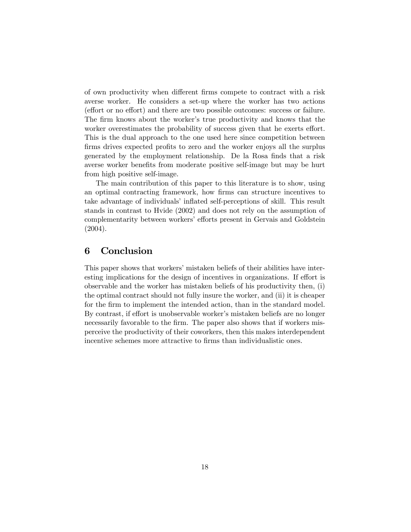of own productivity when different firms compete to contract with a risk averse worker. He considers a set-up where the worker has two actions (effort or no effort) and there are two possible outcomes: success or failure. The firm knows about the worker's true productivity and knows that the worker overestimates the probability of success given that he exerts effort. This is the dual approach to the one used here since competition between firms drives expected profits to zero and the worker enjoys all the surplus generated by the employment relationship. De la Rosa finds that a risk averse worker benefits from moderate positive self-image but may be hurt from high positive self-image.

The main contribution of this paper to this literature is to show, using an optimal contracting framework, how firms can structure incentives to take advantage of individuals' inflated self-perceptions of skill. This result stands in contrast to Hvide (2002) and does not rely on the assumption of complementarity between workers' efforts present in Gervais and Goldstein (2004).

# 6 Conclusion

This paper shows that workers' mistaken beliefs of their abilities have interesting implications for the design of incentives in organizations. If effort is observable and the worker has mistaken beliefs of his productivity then, (i) the optimal contract should not fully insure the worker, and (ii) it is cheaper for the firm to implement the intended action, than in the standard model. By contrast, if effort is unobservable worker's mistaken beliefs are no longer necessarily favorable to the firm. The paper also shows that if workers misperceive the productivity of their coworkers, then this makes interdependent incentive schemes more attractive to firms than individualistic ones.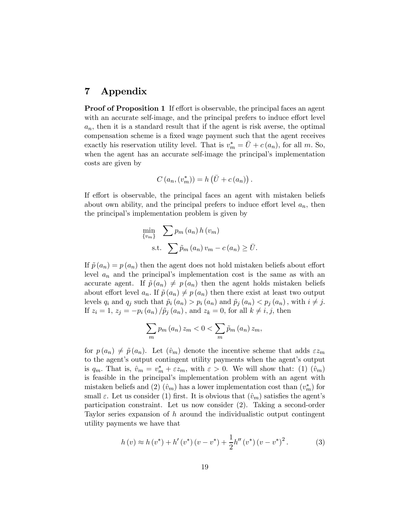# 7 Appendix

**Proof of Proposition 1** If effort is observable, the principal faces an agent with an accurate self-image, and the principal prefers to induce effort level  $a_n$ , then it is a standard result that if the agent is risk averse, the optimal compensation scheme is a fixed wage payment such that the agent receives exactly his reservation utility level. That is  $v_m^* = \bar{U} + c(a_n)$ , for all m. So, when the agent has an accurate self-image the principal's implementation costs are given by

$$
C(a_n,(v_m^*)) = h(\bar{U} + c(a_n)).
$$

If effort is observable, the principal faces an agent with mistaken beliefs about own ability, and the principal prefers to induce effort level  $a_n$ , then the principal's implementation problem is given by

$$
\min_{\{v_m\}} \sum p_m (a_n) h (v_m)
$$
  
s.t. 
$$
\sum \tilde{p}_m (a_n) v_m - c (a_n) \ge \bar{U}.
$$

If  $\tilde{p}(a_n) = p(a_n)$  then the agent does not hold mistaken beliefs about effort level  $a_n$  and the principal's implementation cost is the same as with an accurate agent. If  $\tilde{p}(a_n) \neq p(a_n)$  then the agent holds mistaken beliefs about effort level  $a_n$ . If  $\tilde{p}(a_n) \neq p(a_n)$  then there exist at least two output levels  $q_i$  and  $q_j$  such that  $\tilde{p}_i(a_n) > p_i(a_n)$  and  $\tilde{p}_j(a_n) < p_j(a_n)$ , with  $i \neq j$ . If  $z_i = 1, z_j = -p_i(a_n)/\tilde{p}_j(a_n)$ , and  $z_k = 0$ , for all  $k \neq i, j$ , then

$$
\sum_{m} p_m(a_n) z_m < 0 < \sum_{m} \tilde{p}_m(a_n) z_m,
$$

for  $p(a_n) \neq \tilde{p}(a_n)$ . Let  $(\hat{v}_m)$  denote the incentive scheme that adds  $\varepsilon z_m$ to the agent's output contingent utility payments when the agent's output is  $q_m$ . That is,  $\hat{v}_m = v_m^* + \varepsilon z_m$ , with  $\varepsilon > 0$ . We will show that: (1)  $(\hat{v}_m)$ is feasible in the principal's implementation problem with an agent with mistaken beliefs and (2)  $(\hat{v}_m)$  has a lower implementation cost than  $(v_m^*)$  for small  $\varepsilon$ . Let us consider (1) first. It is obvious that  $(\hat{v}_m)$  satisfies the agent's participation constraint. Let us now consider (2). Taking a second-order Taylor series expansion of h around the individualistic output contingent utility payments we have that

$$
h(v) \approx h(v^*) + h'(v^*)(v - v^*) + \frac{1}{2}h''(v^*)(v - v^*)^2.
$$
 (3)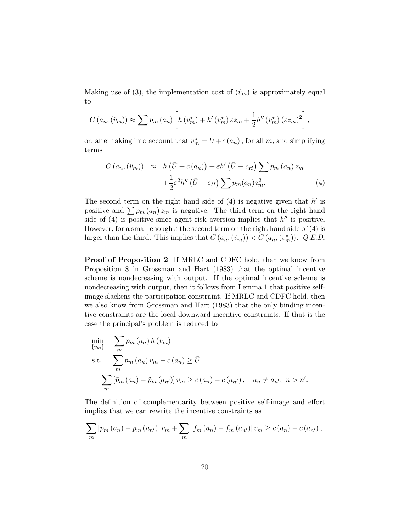Making use of (3), the implementation cost of  $(\hat{v}_m)$  is approximately equal to

$$
C(a_n,(\hat{v}_m)) \approx \sum p_m(a_n) \left[ h(v_m^*) + h'(v_m^*) \varepsilon z_m + \frac{1}{2} h''(v_m^*) (\varepsilon z_m)^2 \right],
$$

or, after taking into account that  $v_m^* = \bar{U} + c(a_n)$ , for all m, and simplifying terms

$$
C(a_n, (\hat{v}_m)) \approx h(\bar{U} + c(a_n)) + \varepsilon h'(\bar{U} + c_H) \sum p_m(a_n) z_m
$$

$$
+ \frac{1}{2} \varepsilon^2 h''(\bar{U} + c_H) \sum p_m(a_n) z_m^2.
$$
 (4)

The second term on the right hand side of  $(4)$  is negative given that h' is positive and  $\sum p_m (a_n) z_m$  is negative. The third term on the right hand side of  $(4)$  is positive since agent risk aversion implies that  $h''$  is positive. However, for a small enough  $\varepsilon$  the second term on the right hand side of (4) is larger than the third. This implies that  $C(a_n, (\hat{v}_m)) < C(a_n, (v_m^*))$ . Q.E.D.

Proof of Proposition 2 If MRLC and CDFC hold, then we know from Proposition 8 in Grossman and Hart (1983) that the optimal incentive scheme is nondecreasing with output. If the optimal incentive scheme is nondecreasing with output, then it follows from Lemma 1 that positive selfimage slackens the participation constraint. If MRLC and CDFC hold, then we also know from Grossman and Hart (1983) that the only binding incentive constraints are the local downward incentive constraints. If that is the case the principal's problem is reduced to

$$
\min_{\{v_m\}} \sum_{m} p_m(a_n) h(v_m)
$$
\n  
\n
$$
\text{s.t.} \sum_{m} \tilde{p}_m(a_n) v_m - c(a_n) \geq \bar{U}
$$
\n  
\n
$$
\sum_{m} [\tilde{p}_m(a_n) - \tilde{p}_m(a_{n'})] v_m \geq c(a_n) - c(a_{n'}), \quad a_n \neq a_{n'}, n > n'.
$$

The definition of complementarity between positive self-image and effort implies that we can rewrite the incentive constraints as

$$
\sum_{m} [p_m (a_n) - p_m (a_{n'})] v_m + \sum_{m} [f_m (a_n) - f_m (a_{n'})] v_m \ge c (a_n) - c (a_{n'}) ,
$$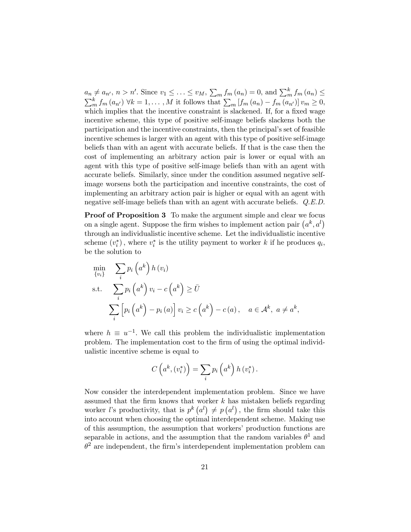$a_n \neq a_{n'}$ ,  $n > n'$ . Since  $v_1 \leq \ldots \leq v_M$ ,  $\sum_m f_m(a_n) = 0$ , and  $\sum_m^k f_m(a_n) \leq$  $\sum_{m}^{k} f_m(a_{n'}) \forall k = 1, \ldots, M$  it follows that  $\sum_{m} [f_m(a_n) - f_m(a_{n'})] v_m \geq 0$ , which implies that the incentive constraint is slackened. If, for a fixed wage incentive scheme, this type of positive self-image beliefs slackens both the participation and the incentive constraints, then the principal's set of feasible incentive schemes is larger with an agent with this type of positive self-image beliefs than with an agent with accurate beliefs. If that is the case then the cost of implementing an arbitrary action pair is lower or equal with an agent with this type of positive self-image beliefs than with an agent with accurate beliefs. Similarly, since under the condition assumed negative selfimage worsens both the participation and incentive constraints, the cost of implementing an arbitrary action pair is higher or equal with an agent with negative self-image beliefs than with an agent with accurate beliefs. Q.E.D.

Proof of Proposition 3 To make the argument simple and clear we focus on a single agent. Suppose the firm wishes to implement action pair  $(a^k, a^l)$ through an individualistic incentive scheme. Let the individualistic incentive scheme  $(v_i^*)$ , where  $v_i^*$  is the utility payment to worker k if he produces  $q_i$ , be the solution to

$$
\min_{\{v_i\}} \quad \sum_{i} p_i \left(a^k\right) h\left(v_i\right)
$$
\n
$$
\text{s.t.} \quad \sum_{i} p_i \left(a^k\right) v_i - c \left(a^k\right) \ge \bar{U}
$$
\n
$$
\sum_{i} \left[ p_i \left(a^k\right) - p_i \left(a\right) \right] v_i \ge c \left(a^k\right) - c \left(a\right), \quad a \in \mathcal{A}^k, \ a \ne a^k,
$$

where  $h \equiv u^{-1}$ . We call this problem the individualistic implementation problem. The implementation cost to the firm of using the optimal individualistic incentive scheme is equal to

$$
C\left(a^k, \left(v_i^*\right)\right) = \sum_i p_i\left(a^k\right) h\left(v_i^*\right).
$$

Now consider the interdependent implementation problem. Since we have assumed that the firm knows that worker  $k$  has mistaken beliefs regarding worker *l*'s productivity, that is  $p^k(a^l) \neq p(a^l)$ , the firm should take this into account when choosing the optimal interdependent scheme. Making use of this assumption, the assumption that workers' production functions are separable in actions, and the assumption that the random variables  $\theta^1$  and  $\theta^2$  are independent, the firm's interdependent implementation problem can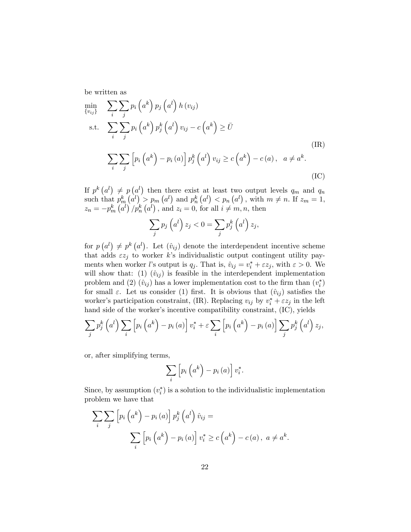be written as

$$
\min_{\{v_{ij}\}} \sum_{i} \sum_{j} p_i \left(a^k\right) p_j \left(a^l\right) h \left(v_{ij}\right)
$$
\ns.t.

\n
$$
\sum_{i} \sum_{j} p_i \left(a^k\right) p_j^k \left(a^l\right) v_{ij} - c \left(a^k\right) \ge \bar{U}
$$
\n(IR)

\n
$$
\sum_{i} \sum_{j} \left[ p_i \left(a^k\right) - p_i \left(a\right) \right] p_j^k \left(a^l\right) v_{ij} \ge c \left(a^k\right) - c \left(a\right), \quad a \ne a^k.
$$
\n(IC)

If  $p^{k}(a^{l}) \neq p(a^{l})$  then there exist at least two output levels  $q_{m}$  and  $q_{n}$ such that  $p_m^k(a^l) > p_m(a^l)$  and  $p_n^k(a^l) < p_n(a^l)$ , with  $m \neq n$ . If  $z_m = 1$ ,  $z_n = -p_m^k (a^l) / p_n^k (a^l)$ , and  $z_i = 0$ , for all  $i \neq m, n$ , then

$$
\sum_{j} p_j \left( a^l \right) z_j < 0 = \sum_{j} p_j^k \left( a^l \right) z_j,
$$

for  $p(a^l) \neq p^k(a^l)$ . Let  $(v_{ij})$  denote the interdependent incentive scheme that adds  $\epsilon z_j$  to worker k's individualistic output contingent utility payments when worker *l*'s output is  $q_j$ . That is,  $\hat{v}_{ij} = v_i^* + \varepsilon z_j$ , with  $\varepsilon > 0$ . We will show that: (1)  $(\hat{v}_{ij})$  is feasible in the interdependent implementation problem and (2)  $(\hat{v}_{ij})$  has a lower implementation cost to the firm than  $(v_i^*)$ for small  $\varepsilon$ . Let us consider (1) first. It is obvious that  $(\hat{v}_{ij})$  satisfies the worker's participation constraint, (IR). Replacing  $v_{ij}$  by  $v_i^* + \varepsilon z_j$  in the left hand side of the worker's incentive compatibility constraint,  $(IC)$ , yields

$$
\sum_{j} p_j^k \left( a^l \right) \sum_{i} \left[ p_i \left( a^k \right) - p_i \left( a \right) \right] v_i^* + \varepsilon \sum_{i} \left[ p_i \left( a^k \right) - p_i \left( a \right) \right] \sum_{j} p_j^k \left( a^l \right) z_j,
$$

or, after simplifying terms,

$$
\sum_{i} \left[ p_i \left( a^k \right) - p_i \left( a \right) \right] v_i^*.
$$

Since, by assumption  $(v_i^*)$  is a solution to the individualistic implementation problem we have that

$$
\sum_{i} \sum_{j} \left[ p_i \left( a^k \right) - p_i \left( a \right) \right] p_j^k \left( a^l \right) \hat{v}_{ij} =
$$
\n
$$
\sum_{i} \left[ p_i \left( a^k \right) - p_i \left( a \right) \right] v_i^* \ge c \left( a^k \right) - c \left( a \right), \ a \ne a^k.
$$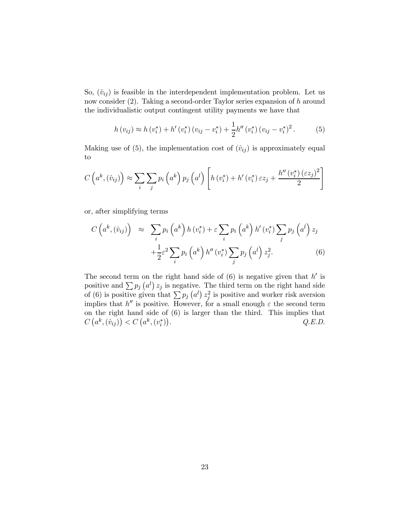So,  $(\hat{v}_{ij})$  is feasible in the interdependent implementation problem. Let us now consider (2). Taking a second-order Taylor series expansion of h around the individualistic output contingent utility payments we have that

$$
h(v_{ij}) \approx h(v_i^*) + h'(v_i^*) (v_{ij} - v_i^*) + \frac{1}{2} h''(v_i^*) (v_{ij} - v_i^*)^2.
$$
 (5)

Making use of (5), the implementation cost of  $(\hat{v}_{ij})$  is approximately equal to

$$
C\left(a^k, (\hat{v}_{ij})\right) \approx \sum_i \sum_j p_i \left(a^k\right) p_j \left(a^l\right) \left[ h\left(v_i^*\right) + h'\left(v_i^*\right) \varepsilon z_j + \frac{h''\left(v_i^*\right) \left(\varepsilon z_j\right)^2}{2} \right]
$$

or, after simplifying terms

$$
C\left(a^k, (\hat{v}_{ij})\right) \approx \sum_i p_i \left(a^k\right) h\left(v_i^*\right) + \varepsilon \sum_i p_i \left(a^k\right) h'\left(v_i^*\right) \sum_j p_j \left(a^l\right) z_j
$$

$$
+ \frac{1}{2} \varepsilon^2 \sum_i p_i \left(a^k\right) h''\left(v_i^*\right) \sum_j p_j \left(a^l\right) z_j^2. \tag{6}
$$

The second term on the right hand side of  $(6)$  is negative given that  $h'$  is positive and  $\sum p_j (a^l) z_j$  is negative. The third term on the right hand side of (6) is positive given that  $\sum p_j (a^l) z_j^2$  is positive and worker risk aversion implies that  $h''$  is positive. However, for a small enough  $\varepsilon$  the second term on the right hand side of (6) is larger than the third. This implies that  $C\left(a^k, (\hat{v}_{ij})\right) < C\left(a^k, (v_i^*)\right)$  $Q.E.D.$